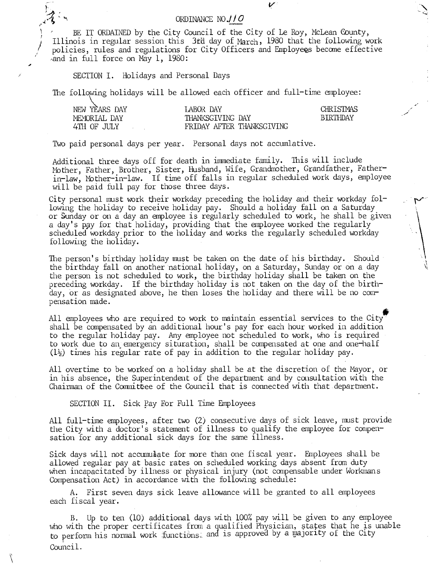## ORDINANCE NO.//O

BE IT ORDAINED by the City Council of the City of Le Roy, McLean County, Illinois in regular session this 3fd day of March, 1950 that the following work policies, rules and regulations for City Officers and Employees become effective and in full force on May 1, 1980:

V

SECTION I. Holidays and Personal Days

The following holidays will be allowed each officer and full-time employee:

| NEW YEARS DAY | LABOR DAY                 | <b>CHRISTMAS</b> |
|---------------|---------------------------|------------------|
| MEMORIAL DAY  | THANKSGIVING DAY          | <b>BIRTHDAY</b>  |
| 4TH OF JULY   | FRIDAY AFTER THANKSGIVING |                  |

Two paid personal days per year. Personal days not accumlative.

Additional three days off for death in immediate family. This will include Mother, Father, Brother, Sister, Husband, Wife, Grandmother, Grandfather, Fatherin-law, Mother-in-law. If time off falls in regular scheduled work days, employee will be paid full pay for those three days.

City personal must work their workday preceding the holiday and their workday following the holiday to receive holiday pay. Should a holiday fall on a Saturday or Sunday or on a day an employee is regularly scheduled to work, he shall be given a day's pay for that holiday, providing that the employee worked the regularly scheduled workday prior to the holiday and works the regularly scheduled workday following the holiday.

The person's birthday holiday must be taken on the date of his birthday. Should the birthday fall on another national holiday, on a Saturday, Sunday or on a day the person is not scheduled to work, the birthday holiday shall be taken on the preceding workday. If the birthday holiday is not taken on the day of the birthday, or as designated above, he then loses the holiday and there will be no compensation made.

All employees who are required to work to maintain essential services to the City shall be compensated by an additional hour's pay for each hour worked in addition to the regular holiday pay. Any employee not scheduled to work, who is required to work due to an emergency situration, shall be compensated at one and one-half  $(1\frac{1}{2})$  times his regular rate of pay in addition to the regular holiday pay.

All overtime to be worked on a holiday shall be at the discretion of the Mayor, or in his absence, the Superintendent of the department and by consultation with the Chairman of the Committee of the Council that is connected with that department.

SECTION II. Sick Pay For Full Time Employees

All full-time employees, after two (2) consecutive days of sick leave, must provide the City with a doctor's statement of illness to qualify the employee for compensation for any additional sick days for the same illness.

Sick days will not accumulate for more than one fiscal year. Employees shall be allowed regular pay at basic rates on scheduled working days absent from duty when incapacitated by illness or physical injury (not compensable under Workmans Compensation Act) in accordance with the following schedule:

A. First seven days sick leave allowance will be granted to all employees each fiscal year.

B. Up to ten (10) additional days with 100% pay will be given to any employee who with the proper certificates from a qualified Physician, states that he is unable to perform his normal work functions: and is approved by a majority of the City Council.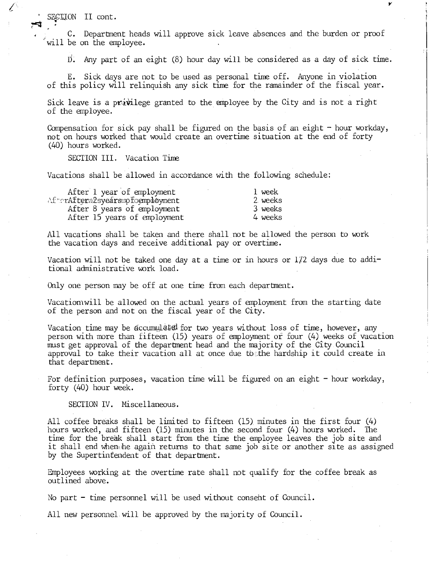SECTION II cont.

t (

C. Department heads will approve sick leave absences and the burden or proof will be on the employee.

 $\overline{D}$ . Any part of an eight (8) hour day will be considered as a day of sick time.

Y

E. Sick days are not to be used as personal time off. Anyone in violation of this policy will relinquish any sick time for the ramainder of the fiscal year.

Sick leave is a privilege granted to the employee by the City and is not a right of the employee.

Compensation for sick pay shall be figured on the basis of an eight  $-$  hour workday, not on hours worked that would create an overtime situation at the end of forty (40) hours worked.

SECTION III. Vacation Time

Vacations shall be allowed in accordance with the following schedule.

| After 1 year of employment       | 1 week   |
|----------------------------------|----------|
| AfterAftera2syearsmofoemphoyment | 2. weeks |
| After 8 years of employment      | 3 weeks  |
| After 15 years of employment     | 4 weeks  |

All vacations shall be taken and there shall not be allowed the person to work the vacation days and receive additional pay or overtime.

Vacation will not be taked one day at a time or in hours or  $1/2$  days due to additional administrative work load.

Only one person may be off at one time from each department.

Vacatiom will be allowed on the actual years of employment from the starting date of the person and not on the fiscal year of the City.

Vacation time may be accumulated for two years without loss of time, however, any person with more than fifteen (15) years of employment or four (4) weeks of vacation must get approval of the department head and the majority of the City Council approval to take their vacation all at once due to the hardship it could create in that department.

For definition purposes, vacation time will be figured on an eight  $-$  hour workday, forty (40) hour week.

SECTION IV. Miscellaneous.

All coffee breaks shall be limited to fifteen (15) minutes in the first four (4) hours worked, and fifteen (15) minutes in the second four (4) hours worked. The time for the break shall start from the time the employee leaves the job site and it shall end when.he again returns to that same job site or another site as assigned by the Supertintendent of that department.

Employees working at the overtime rate shall not qualify for the coffee break as outlined above.

No part - time personnel will be used without consent of Council.

All new personnel will be approved by the majority of Council.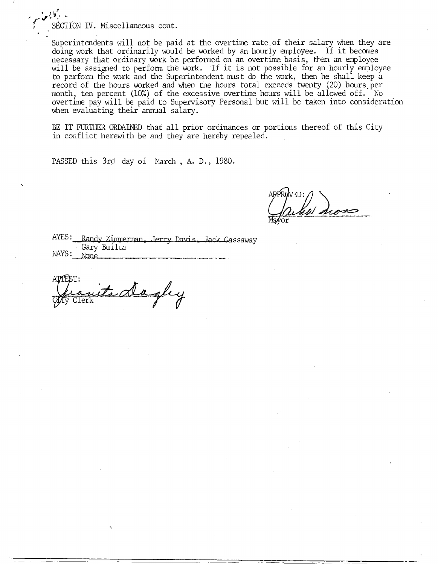SECTION IV. Miscellaneous cont.

Superintendents will not be paid at the overtime rate of their salary when they are doing work that ordinarily would be worked by an hourly employee. If it becomes necessary that ordinary work be performed on an overtime basis, then an employee will be assigned to perform the work. If it is not possible for an hourly employee to perform the work and the Superintendent must do the work, then he shall keep a record of the hours worked and when the hours total exceeds twenty (20) hours per month, ten percent (10%) of the excessive overtime hours will be allowed off. No overtime pay will be paid to Supervisory Personal but will be taken into consideration when evaluating their annual salary.

BE IT FURTHER ORDAINED that all prior ordinances or portions thereof of this City in conflict herewith be and they are hereby repealed.

PASSED this 3rd day of March , A. D., 1980.

AYES: Randy Zimmerman, Jerry Davis, Jack Gassaway Gary Builta  $NAYS:$  None

nits dagley